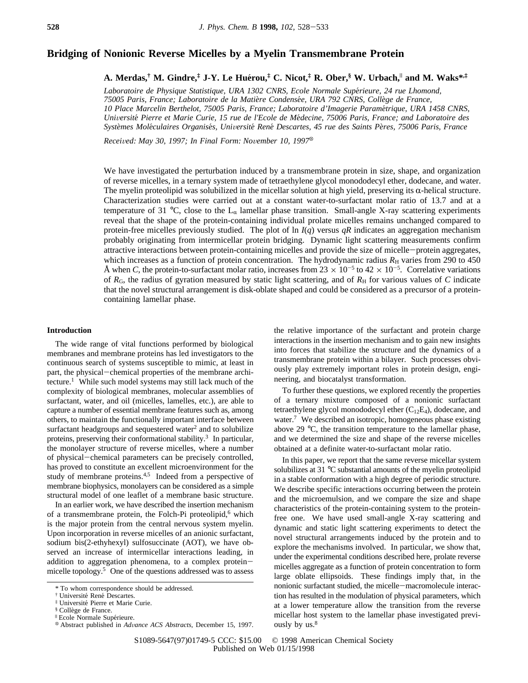# **Bridging of Nonionic Reverse Micelles by a Myelin Transmembrane Protein**

**A. Merdas,† M. Gindre,‡ J-Y. Le Hue**´**rou,‡ C. Nicot,‡ R. Ober,§ W. Urbach,**<sup>|</sup> **and M. Waks\*,‡**

*Laboratoire de Physique Statistique, URA 1302 CNRS, Ecole Normale Supe*´*rieure, 24 rue Lhomond, 75005 Paris, France; Laboratoire de la Matie*`*re Condense*´*e, URA 792 CNRS, Colle*`*ge de France, 10 Place Marcelin Berthelot, 75005 Paris, France; Laboratoire d'Imagerie Parame*´*trique, URA 1458 CNRS, Uni*V*ersite*´ *Pierre et Marie Curie, 15 rue de l'Ecole de Me*´*decine, 75006 Paris, France; and Laboratoire des Syste*`*mes Mole*´*culaires Organise*´*s, Uni*V*ersite*´ *Rene*´ *Descartes, 45 rue des Saints Pe*`*res, 75006 Paris, France*

*Recei*V*ed: May 30, 1997; In Final Form: No*V*ember 10, 1997*<sup>X</sup>

We have investigated the perturbation induced by a transmembrane protein in size, shape, and organization of reverse micelles, in a ternary system made of tetraethylene glycol monododecyl ether, dodecane, and water. The myelin proteolipid was solubilized in the micellar solution at high yield, preserving its  $\alpha$ -helical structure. Characterization studies were carried out at a constant water-to-surfactant molar ratio of 13.7 and at a temperature of 31 °C, close to the  $L_{\alpha}$  lamellar phase transition. Small-angle X-ray scattering experiments reveal that the shape of the protein-containing individual prolate micelles remains unchanged compared to protein-free micelles previously studied. The plot of  $\ln I(q)$  versus *qR* indicates an aggregation mechanism probably originating from intermicellar protein bridging. Dynamic light scattering measurements confirm attractive interactions between protein-containing micelles and provide the size of micelle-protein aggregates, which increases as a function of protein concentration. The hydrodynamic radius  $R<sub>H</sub>$  varies from 290 to 450 Å when *C*, the protein-to-surfactant molar ratio, increases from  $23 \times 10^{-5}$  to  $42 \times 10^{-5}$ . Correlative variations of  $R_G$ , the radius of gyration measured by static light scattering, and of  $R_H$  for various values of *C* indicate that the novel structural arrangement is disk-oblate shaped and could be considered as a precursor of a proteincontaining lamellar phase.

## **Introduction**

The wide range of vital functions performed by biological membranes and membrane proteins has led investigators to the continuous search of systems susceptible to mimic, at least in part, the physical-chemical properties of the membrane architecture.<sup>1</sup> While such model systems may still lack much of the complexity of biological membranes, molecular assemblies of surfactant, water, and oil (micelles, lamelles, etc.), are able to capture a number of essential membrane features such as, among others, to maintain the functionally important interface between surfactant headgroups and sequestered water<sup>2</sup> and to solubilize proteins, preserving their conformational stability.3 In particular, the monolayer structure of reverse micelles, where a number of physical-chemical parameters can be precisely controlled, has proved to constitute an excellent microenvironment for the study of membrane proteins.<sup>4,5</sup> Indeed from a perspective of membrane biophysics, monolayers can be considered as a simple structural model of one leaflet of a membrane basic structure.

In an earlier work, we have described the insertion mechanism of a transmembrane protein, the Folch-Pi proteolipid,<sup>6</sup> which is the major protein from the central nervous system myelin. Upon incorporation in reverse micelles of an anionic surfactant, sodium bis(2-ethyhexyl) sulfosuccinate (AOT), we have observed an increase of intermicellar interactions leading, in addition to aggregation phenomena, to a complex proteinmicelle topology.<sup>5</sup> One of the questions addressed was to assess

the relative importance of the surfactant and protein charge interactions in the insertion mechanism and to gain new insights into forces that stabilize the structure and the dynamics of a transmembrane protein within a bilayer. Such processes obviously play extremely important roles in protein design, engineering, and biocatalyst transformation.

To further these questions, we explored recently the properties of a ternary mixture composed of a nonionic surfactant tetraethylene glycol monododecyl ether  $(C_{12}E_4)$ , dodecane, and water.<sup>7</sup> We described an isotropic, homogeneous phase existing above 29 °C, the transition temperature to the lamellar phase, and we determined the size and shape of the reverse micelles obtained at a definite water-to-surfactant molar ratio.

In this paper, we report that the same reverse micellar system solubilizes at 31 °C substantial amounts of the myelin proteolipid in a stable conformation with a high degree of periodic structure. We describe specific interactions occurring between the protein and the microemulsion, and we compare the size and shape characteristics of the protein-containing system to the proteinfree one. We have used small-angle X-ray scattering and dynamic and static light scattering experiments to detect the novel structural arrangements induced by the protein and to explore the mechanisms involved. In particular, we show that, under the experimental conditions described here, prolate reverse micelles aggregate as a function of protein concentration to form large oblate ellipsoids. These findings imply that, in the nonionic surfactant studied, the micelle-macromolecule interaction has resulted in the modulation of physical parameters, which at a lower temperature allow the transition from the reverse micellar host system to the lamellar phase investigated previously by us.<sup>8</sup>

<sup>\*</sup> To whom correspondence should be addressed.

<sup>&</sup>lt;sup>†</sup> Université René Descartes.

 $\ddagger$  Université Pierre et Marie Curie.

<sup>§</sup> Collège de France.

<sup>&</sup>lt;sup>II</sup> Ecole Normale Supérieure.

Abstract published in *Ad*V*ance ACS Abstracts,* December 15, 1997.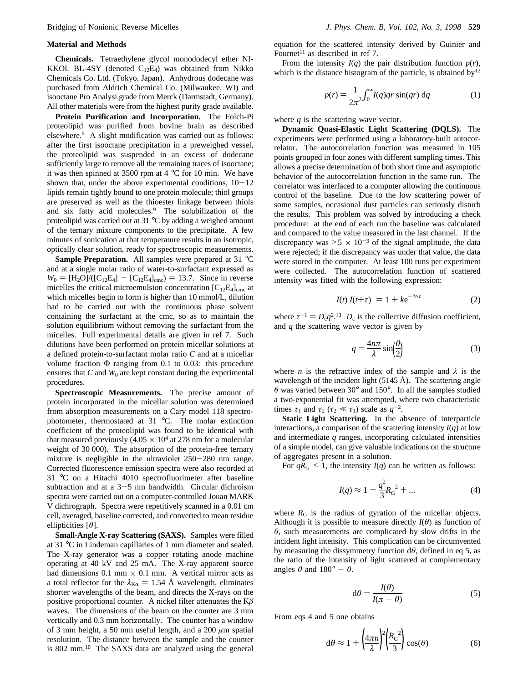### **Material and Methods**

**Chemicals.** Tetraethylene glycol monododecyl ether NI-KKOL BL-4SY (denoted  $C_{12}E_4$ ) was obtained from Nikko Chemicals Co. Ltd. (Tokyo, Japan). Anhydrous dodecane was purchased from Aldrich Chemical Co. (Milwaukee, WI) and isooctane Pro Analysi grade from Merck (Darmstadt, Germany). All other materials were from the highest purity grade available.

**Protein Purification and Incorporation.** The Folch-Pi proteolipid was purified from bovine brain as described elsewhere.9 A slight modification was carried out as follows: after the first isooctane precipitation in a preweighed vessel, the proteolipid was suspended in an excess of dodecane sufficiently large to remove all the remaining traces of isooctane; it was then spinned at 3500 rpm at  $4^{\circ}$ C for 10 min. We have shown that, under the above experimental conditions,  $10-12$ lipids remain tightly bound to one protein molecule; thiol groups are preserved as well as the thioester linkage between thiols and six fatty acid molecules.9 The solubilization of the proteolipid was carried out at 31 °C by adding a weighed amount of the ternary mixture components to the precipitate. A few minutes of sonication at that temperature results in an isotropic, optically clear solution, ready for spectroscopic measurements.

**Sample Preparation.** All samples were prepared at 31 °C and at a single molar ratio of water-to-surfactant expressed as  $W_0 = [H_2O]/([C_{12}E_4] - [C_{12}E_4]_{cmc}) = 13.7$ . Since in reverse micelles the critical microemulsion concentration  $[C_{12}E_4]_{\text{cme}}$  at which micelles begin to form is higher than 10 mmol/L, dilution had to be carried out with the continuous phase solvent containing the surfactant at the cmc, so as to maintain the solution equilibrium without removing the surfactant from the micelles. Full experimental details are given in ref 7. Such dilutions have been performed on protein micellar solutions at a defined protein-to-surfactant molar ratio *C* and at a micellar volume fraction  $\Phi$  ranging from 0.1 to 0.03: this procedure ensures that  $C$  and  $W_0$  are kept constant during the experimental procedures.

**Spectroscopic Measurements.** The precise amount of protein incorporated in the micellar solution was determined from absorption measurements on a Cary model 118 spectrophotometer, thermostated at 31 °C. The molar extinction coefficient of the proteolipid was found to be identical with that measured previously (4.05  $\times$  10<sup>4</sup> at 278 nm for a molecular weight of 30 000). The absorption of the protein-free ternary mixture is negligible in the ultraviolet 250-280 nm range. Corrected fluorescence emission spectra were also recorded at 31 °C on a Hitachi 4010 spectrofluorimeter after baseline subtraction and at a  $3-5$  nm bandwidth. Circular dichroism spectra were carried out on a computer-controlled Jouan MARK V dichrograph. Spectra were repetitively scanned in a 0.01 cm cell, averaged, baseline corrected, and converted to mean residue ellipticities [*θ*].

**Small-Angle X-ray Scattering (SAXS).** Samples were filled at 31 °C in Lindeman capillaries of 1 mm diameter and sealed. The X-ray generator was a copper rotating anode machine operating at 40 kV and 25 mA. The X-ray apparent source had dimensions  $0.1$  mm  $\times$   $0.1$  mm. A vertical mirror acts as a total reflector for the  $\lambda_{\text{K}\alpha} = 1.54$  Å wavelength, eliminates shorter wavelengths of the beam, and directs the X-rays on the positive proportional counter. A nickel filter attenuates the  $K\beta$ waves. The dimensions of the beam on the counter are 3 mm vertically and 0.3 mm horizontally. The counter has a window of 3 mm height, a 50 mm useful length, and a 200 *µ*m spatial resolution. The distance between the sample and the counter is 802 mm.10 The SAXS data are analyzed using the general

equation for the scattered intensity derived by Guinier and Fournet<sup>11</sup> as described in ref 7.

From the intensity  $I(q)$  the pair distribution function  $p(r)$ , which is the distance histogram of the particle, is obtained by  $12$ 

$$
p(r) = \frac{1}{2\pi^2} \int_0^\infty I(q)qr\sin(qr)\,\mathrm{d}q\tag{1}
$$

where *q* is the scattering wave vector.

**Dynamic Quasi-Elastic Light Scattering (DQLS).** The experiments were performed using a laboratory-built autocorrelator. The autocorrelation function was measured in 105 points grouped in four zones with different sampling times. This allows a precise determination of both short time and asymptotic behavior of the autocorrelation function in the same run. The correlator was interfaced to a computer allowing the continuous control of the baseline. Due to the low scattering power of some samples, occasional dust particles can seriously disturb the results. This problem was solved by introducing a check procedure: at the end of each run the baseline was calculated and compared to the value measured in the last channel. If the discrepancy was  $> 5 \times 10^{-3}$  of the signal amplitude, the data were rejected; if the discrepancy was under that value, the data were stored in the computer. At least 100 runs per experiment were collected. The autocorrelation function of scattered intensity was fitted with the following expression:

$$
\langle I(t) I(t+\tau) \rangle = 1 + k e^{-2t/\tau}
$$
 (2)

where  $\tau^{-1} = D_c q^2$ .<sup>13</sup>  $D_c$  is the collective diffusion coefficient, and *q* the scattering wave vector is given by

$$
q = \frac{4n\pi}{\lambda} \sin\left(\frac{\theta}{2}\right) \tag{3}
$$

where *n* is the refractive index of the sample and  $\lambda$  is the wavelength of the incident light (5145 Å). The scattering angle *θ* was varied between 30° and 150°. In all the samples studied a two-exponential fit was attempted, where two characteristic times  $\tau_1$  and  $\tau_2$  ( $\tau_2 \ll \tau_1$ ) scale as  $q^{-2}$ .

**Static Light Scattering.** In the absence of interparticle interactions, a comparison of the scattering intensity  $I(q)$  at low and intermediate *q* ranges, incorporating calculated intensities of a simple model, can give valuable indications on the structure of aggregates present in a solution.

For  $qR_G \leq 1$ , the intensity  $I(q)$  can be written as follows:

$$
I(q) \approx 1 - \frac{q^2}{3} R_G^{2} + \dots
$$
 (4)

where  $R_G$  is the radius of gyration of the micellar objects. Although it is possible to measure directly  $I(\theta)$  as function of *θ*, such measurements are complicated by slow drifts in the incident light intensity. This complication can be circumvented by measuring the dissymmetry function  $d\theta$ , defined in eq 5, as the ratio of the intensity of light scattered at complementary angles  $\theta$  and  $180^\circ - \theta$ .

$$
d\theta = \frac{I(\theta)}{I(\pi - \theta)}\tag{5}
$$

From eqs 4 and 5 one obtains

$$
d\theta \approx 1 + \left(\frac{4\pi n}{\lambda}\right)^2 \left(\frac{R_G^2}{3}\right) \cos(\theta) \tag{6}
$$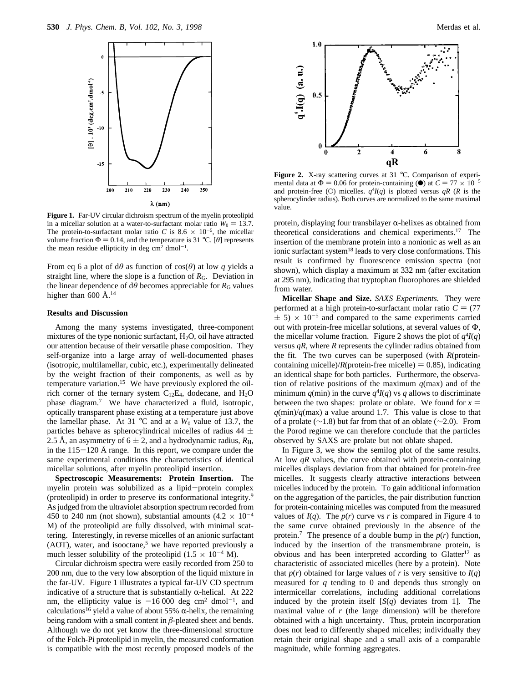

**Figure 1.** Far-UV circular dichroism spectrum of the myelin proteolipid in a micellar solution at a water-to-surfactant molar ratio  $W_0 = 13.7$ . The protein-to-surfactant molar ratio *C* is 8.6  $\times$  10<sup>-5</sup>, the micellar volume fraction  $\Phi = 0.14$ , and the temperature is 31 °C. [ $\theta$ ] represents the mean residue ellipticity in deg  $\text{cm}^2$  dmol<sup>-1</sup>.

From eq 6 a plot of  $d\theta$  as function of  $cos(\theta)$  at low *q* yields a straight line, where the slope is a function of  $R<sub>G</sub>$ . Deviation in the linear dependence of  $d\theta$  becomes appreciable for  $R<sub>G</sub>$  values higher than 600 Å. $^{14}$ 

## **Results and Discussion**

Among the many systems investigated, three-component mixtures of the type nonionic surfactant,  $H_2O$ , oil have attracted our attention because of their versatile phase composition. They self-organize into a large array of well-documented phases (isotropic, multilamellar, cubic, etc.), experimentally delineated by the weight fraction of their components, as well as by temperature variation.15 We have previously explored the oilrich corner of the ternary system  $C_{12}E_4$ , dodecane, and  $H_2O$ phase diagram.7 We have characterized a fluid, isotropic, optically transparent phase existing at a temperature just above the lamellar phase. At 31  $\degree$ C and at a  $W_0$  value of 13.7, the particles behave as spherocylindrical micelles of radius 44  $\pm$ 2.5 Å, an asymmetry of  $6 \pm 2$ , and a hydrodynamic radius,  $R_{\text{H}}$ , in the  $115-120$  Å range. In this report, we compare under the same experimental conditions the characteristics of identical micellar solutions, after myelin proteolipid insertion.

**Spectroscopic Measurements: Protein Insertion.** The myelin protein was solubilized as a lipid-protein complex (proteolipid) in order to preserve its conformational integrity.9 As judged from the ultraviolet absorption spectrum recorded from 450 to 240 nm (not shown), substantial amounts  $(4.2 \times 10^{-4}$ M) of the proteolipid are fully dissolved, with minimal scattering. Interestingly, in reverse micelles of an anionic surfactant (AOT), water, and isooctane,<sup>5</sup> we have reported previously a much lesser solubility of the proteolipid  $(1.5 \times 10^{-4} \text{ M})$ .

Circular dichroism spectra were easily recorded from 250 to 200 nm, due to the very low absorption of the liquid mixture in the far-UV. Figure 1 illustrates a typical far-UV CD spectrum indicative of a structure that is substantially  $\alpha$ -helical. At 222 nm, the ellipticity value is  $-16000$  deg cm<sup>2</sup> dmol<sup>-1</sup>, and calculations<sup>16</sup> yield a value of about 55%  $\alpha$ -helix, the remaining being random with a small content in  $\beta$ -pleated sheet and bends. Although we do not yet know the three-dimensional structure of the Folch-Pi proteolipid in myelin, the measured conformation is compatible with the most recently proposed models of the



Figure 2. X-ray scattering curves at 31 °C. Comparison of experimental data at  $\Phi = 0.06$  for protein-containing ( $\bullet$ ) at  $C = 77 \times 10^{-5}$ and protein-free (O) micelles.  $q^4I(q)$  is plotted versus  $qR$  (*R* is the spherocylinder radius). Both curves are normalized to the same maximal value.

protein, displaying four transbilayer  $\alpha$ -helixes as obtained from theoretical considerations and chemical experiments.17 The insertion of the membrane protein into a nonionic as well as an ionic surfactant system<sup>18</sup> leads to very close conformations. This result is confirmed by fluorescence emission spectra (not shown), which display a maximum at 332 nm (after excitation at 295 nm), indicating that tryptophan fluorophores are shielded from water.

**Micellar Shape and Size.** *SAXS Experiments.* They were performed at a high protein-to-surfactant molar ratio  $C = (77$  $\pm$  5) × 10<sup>-5</sup> and compared to the same experiments carried out with protein-free micellar solutions, at several values of Φ, the micellar volume fraction. Figure 2 shows the plot of  $q^4I(q)$ versus *qR*, where *R* represents the cylinder radius obtained from the fit. The two curves can be superposed (with *R*(proteincontaining micelle)/ $R$ (protein-free micelle) = 0.85), indicating an identical shape for both particles. Furthermore, the observation of relative positions of the maximum *q*(max) and of the minimum  $q$ (min) in the curve  $q^4I(q)$  vs  $q$  allows to discriminate between the two shapes: prolate or oblate. We found for  $x =$  $q(\text{min})/q(\text{max})$  a value around 1.7. This value is close to that of a prolate (∼1.8) but far from that of an oblate (∼2.0). From the Porod regime we can therefore conclude that the particles observed by SAXS are prolate but not oblate shaped.

In Figure 3, we show the semilog plot of the same results. At low  $qR$  values, the curve obtained with protein-containing micelles displays deviation from that obtained for protein-free micelles. It suggests clearly attractive interactions between micelles induced by the protein. To gain additional information on the aggregation of the particles, the pair distribution function for protein-containing micelles was computed from the measured values of  $I(q)$ . The  $p(r)$  curve vs *r* is compared in Figure 4 to the same curve obtained previously in the absence of the protein.<sup>7</sup> The presence of a double bump in the  $p(r)$  function, induced by the insertion of the transmembrane protein, is obvious and has been interpreted according to Glatter<sup>12</sup> as characteristic of associated micelles (here by a protein). Note that  $p(r)$  obtained for large values of *r* is very sensitive to  $I(q)$ measured for *q* tending to 0 and depends thus strongly on intermicellar correlations, including additional correlations induced by the protein itself [*S*(*q*) deviates from 1]. The maximal value of *r* (the large dimension) will be therefore obtained with a high uncertainty. Thus, protein incorporation does not lead to differently shaped micelles; individually they retain their original shape and a small axis of a comparable magnitude, while forming aggregates.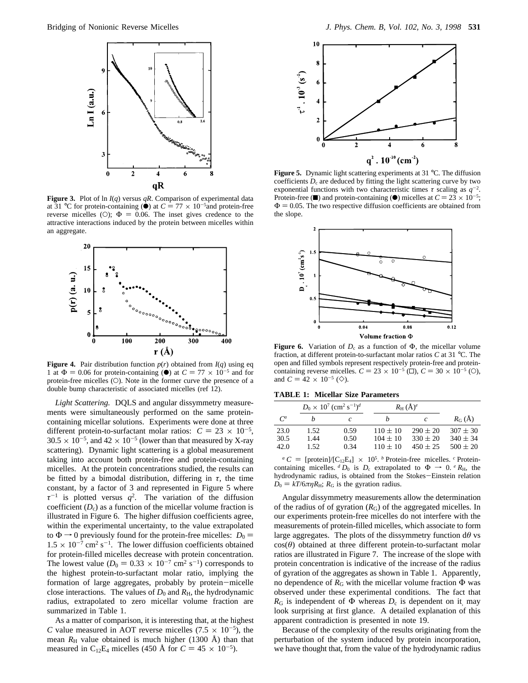

**Figure 3.** Plot of ln *I*(*q*) versus *qR*. Comparison of experimental data at 31 °C for protein-containing  $\dot{O}$  at  $C = 77 \times 10^{-5}$  and protein-free<br>reverse micelles (O):  $\Phi = 0.06$ . The inset gives credence to the reverse micelles (O);  $\Phi = 0.06$ . The inset gives credence to the attractive interactions induced by the protein between micelles within an aggregate.



**Figure 4.** Pair distribution function  $p(r)$  obtained from  $I(q)$  using eq 1 at  $\Phi = 0.06$  for protein-containing ( $\bullet$ ) at  $C = 77 \times 10^{-5}$  and for protein-free micelles (O). Note in the former curve the presence of a double bump characteristic of associated micelles (ref 12).

*Light Scattering.* DQLS and angular dissymmetry measurements were simultaneously performed on the same proteincontaining micellar solutions. Experiments were done at three different protein-to-surfactant molar ratios:  $C = 23 \times 10^{-5}$ ,  $30.5 \times 10^{-5}$ , and  $42 \times 10^{-5}$  (lower than that measured by X-ray scattering). Dynamic light scattering is a global measurement taking into account both protein-free and protein-containing micelles. At the protein concentrations studied, the results can be fitted by a bimodal distribution, differing in  $\tau$ , the time constant, by a factor of 3 and represented in Figure 5 where  $\tau^{-1}$  is plotted versus  $q^2$ . The variation of the diffusion coefficient  $(D_c)$  as a function of the micellar volume fraction is illustrated in Figure 6. The higher diffusion coefficients agree, within the experimental uncertainty, to the value extrapolated to  $\Phi \rightarrow 0$  previously found for the protein-free micelles:  $D_0 =$  $1.5 \times 10^{-7}$  cm<sup>2</sup> s<sup>-1</sup>. The lower diffusion coefficients obtained for protein-filled micelles decrease with protein concentration. The lowest value ( $D_0 = 0.33 \times 10^{-7}$  cm<sup>2</sup> s<sup>-1</sup>) corresponds to the highest protein-to-surfactant molar ratio, implying the formation of large aggregates, probably by protein-micelle close interactions. The values of  $D_0$  and  $R_H$ , the hydrodynamic radius, extrapolated to zero micellar volume fraction are summarized in Table 1.

As a matter of comparison, it is interesting that, at the highest *C* value measured in AOT reverse micelles  $(7.5 \times 10^{-5})$ , the mean  $R_H$  value obtained is much higher (1300 Å) than that measured in C<sub>12</sub>E<sub>4</sub> micelles (450 Å for  $C = 45 \times 10^{-5}$ ).



**Figure 5.** Dynamic light scattering experiments at 31 °C. The diffusion coefficients  $D_c$  are deduced by fitting the light scattering curve by two exponential functions with two characteristic times  $\tau$  scaling as  $q^{-2}$ . Protein-free ( $\blacksquare$ ) and protein-containing ( $\blacksquare$ ) micelles at  $C = 23 \times 10^{-5}$ ;<br> $\Phi = 0.05$  The two respective diffusion coefficients are obtained from  $\Phi = 0.05$ . The two respective diffusion coefficients are obtained from the slope.



**Figure 6.** Variation of  $D_c$  as a function of  $\Phi$ , the micellar volume fraction, at different protein-to-surfactant molar ratios *C* at 31 °C. The open and filled symbols represent respectively protein-free and proteincontaining reverse micelles.  $C = 23 \times 10^{-5}$  ( $\Box$ ),  $C = 30 \times 10^{-5}$  ( $\odot$ ), and  $C = 42 \times 10^{-5}$  ( $\diamondsuit$ ).

**TABLE 1: Micellar Size Parameters**

|       | $D_0 \times 10^7$ (cm <sup>2</sup> s <sup>-1</sup> ) <sup>d</sup> |      |              | $R_{\rm H}$ $(\rm \AA)^e$ |                  |
|-------|-------------------------------------------------------------------|------|--------------|---------------------------|------------------|
| $C^a$ |                                                                   | c    |              | C                         | $R_G(\check{A})$ |
| 23.0  | 1.52                                                              | 0.59 | $110 \pm 10$ | $290 \pm 20$              | $307 \pm 30$     |
| 30.5  | 1.44                                                              | 0.50 | $104 \pm 10$ | $330 \pm 20$              | $340 \pm 34$     |
| 42.0  | 1.52                                                              | 0.34 | $110 \pm 10$ | $450 \pm 25$              | $500 \pm 20$     |

 $^a C =$  [protein]/[C<sub>12</sub>E<sub>4</sub>] × 10<sup>5</sup>. *b* Protein-free micelles. *c* Proteincontaining micelles. <sup>*d*</sup>  $D_0$  is  $D_c$  extrapolated to  $\Phi \rightarrow 0$ . *e*  $R_H$ , the hydrodynamic radius, is obtained from the Stokes-Einstein relation  $D_0 = kT/6\pi\eta R_H$ ;  $R_G$  is the gyration radius.

Angular dissymmetry measurements allow the determination of the radius of of gyration  $(R_G)$  of the aggregated micelles. In our experiments protein-free micelles do not interfere with the measurements of protein-filled micelles, which associate to form large aggregates. The plots of the dissymmetry function d*θ* vs cos(*θ*) obtained at three different protein-to-surfactant molar ratios are illustrated in Figure 7. The increase of the slope with protein concentration is indicative of the increase of the radius of gyration of the aggregates as shown in Table 1. Apparently, no dependence of  $R$ <sub>G</sub> with the micellar volume fraction  $Φ$  was observed under these experimental conditions. The fact that  $R_G$  is independent of  $\Phi$  whereas  $D_c$  is dependent on it, may look surprising at first glance. A detailed explanation of this apparent contradiction is presented in note 19.

Because of the complexity of the results originating from the perturbation of the system induced by protein incorporation, we have thought that, from the value of the hydrodynamic radius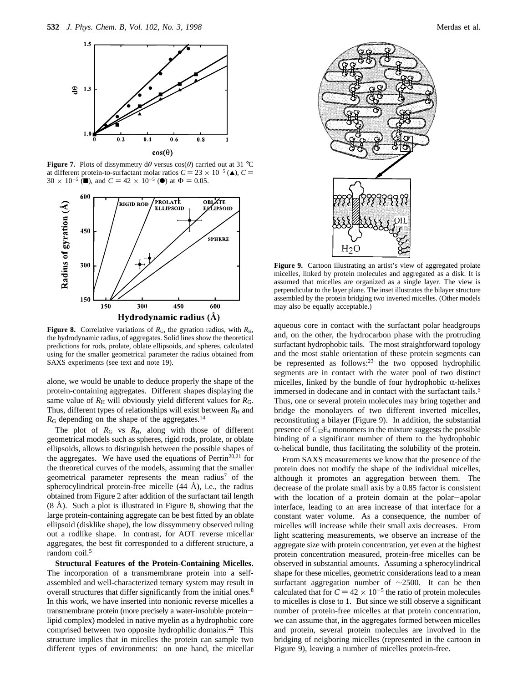

**Figure 7.** Plots of dissymmetry  $d\theta$  versus  $cos(\theta)$  carried out at 31 °C at different protein-to-surfactant molar ratios  $C = 23 \times 10^{-5}$  ( $\triangle$ ),  $C =$  $30 \times 10^{-5}$  (**m**), and  $C = 42 \times 10^{-5}$  (**e**) at  $\Phi = 0.05$ .



**Figure 8.** Correlative variations of  $R_G$ , the gyration radius, with  $R_H$ , the hydrodynamic radius, of aggregates. Solid lines show the theoretical predictions for rods, prolate, oblate ellipsoids, and spheres, calculated using for the smaller geometrical parameter the radius obtained from SAXS experiments (see text and note 19).

alone, we would be unable to deduce properly the shape of the protein-containing aggregates. Different shapes displaying the same value of  $R_H$  will obviously yield different values for  $R_G$ . Thus, different types of relationships will exist between  $R<sub>H</sub>$  and  $R<sub>G</sub>$  depending on the shape of the aggregates.<sup>14</sup>

The plot of  $R_G$  vs  $R_H$ , along with those of different geometrical models such as spheres, rigid rods, prolate, or oblate ellipsoids, allows to distinguish between the possible shapes of the aggregates. We have used the equations of Perrin<sup>20,21</sup> for the theoretical curves of the models, assuming that the smaller geometrical parameter represents the mean radius<sup>7</sup> of the spherocylindrical protein-free micelle (44 Å), i.e., the radius obtained from Figure 2 after addition of the surfactant tail length (8 Å). Such a plot is illustrated in Figure 8, showing that the large protein-containing aggregate can be best fitted by an oblate ellipsoid (disklike shape), the low dissymmetry observed ruling out a rodlike shape. In contrast, for AOT reverse micellar aggregates, the best fit corresponded to a different structure, a random coil.<sup>5</sup>

**Structural Features of the Protein-Containing Micelles.** The incorporation of a transmembrane protein into a selfassembled and well-characterized ternary system may result in overall structures that differ significantly from the initial ones.<sup>8</sup> In this work, we have inserted into nonionic reverse micelles a transmembrane protein (more precisely a water-insoluble proteinlipid complex) modeled in native myelin as a hydrophobic core comprised between two opposite hydrophilic domains.<sup>22</sup> This structure implies that in micelles the protein can sample two different types of environments: on one hand, the micellar



Figure 9. Cartoon illustrating an artist's view of aggregated prolate micelles, linked by protein molecules and aggregated as a disk. It is assumed that micelles are organized as a single layer. The view is perpendicular to the layer plane. The inset illustrates the bilayer structure assembled by the protein bridging two inverted micelles. (Other models may also be equally acceptable.)

aqueous core in contact with the surfactant polar headgroups and, on the other, the hydrocarbon phase with the protruding surfactant hydrophobic tails. The most straightforward topology and the most stable orientation of these protein segments can be represented as follows:<sup>23</sup> the two opposed hydrophilic segments are in contact with the water pool of two distinct micelles, linked by the bundle of four hydrophobic  $\alpha$ -helixes immersed in dodecane and in contact with the surfactant tails.<sup>5</sup> Thus, one or several protein molecules may bring together and bridge the monolayers of two different inverted micelles, reconstituting a bilayer (Figure 9). In addition, the substantial presence of  $C_{12}E_4$  monomers in the mixture suggests the possible binding of a significant number of them to the hydrophobic  $\alpha$ -helical bundle, thus facilitating the solubility of the protein.

From SAXS measurements we know that the presence of the protein does not modify the shape of the individual micelles, although it promotes an aggregation between them. The decrease of the prolate small axis by a 0.85 factor is consistent with the location of a protein domain at the polar-apolar interface, leading to an area increase of that interface for a constant water volume. As a consequence, the number of micelles will increase while their small axis decreases. From light scattering measurements, we observe an increase of the aggregate size with protein concentration, yet even at the highest protein concentration measured, protein-free micelles can be observed in substantial amounts. Assuming a spherocylindrical shape for these micelles, geometric considerations lead to a mean surfactant aggregation number of ∼2500. It can be then calculated that for  $C = 42 \times 10^{-5}$  the ratio of protein molecules to micelles is close to 1. But since we still observe a significant number of protein-free micelles at that protein concentration, we can assume that, in the aggregates formed between micelles and protein, several protein molecules are involved in the bridging of neigboring micelles (represented in the cartoon in Figure 9), leaving a number of micelles protein-free.